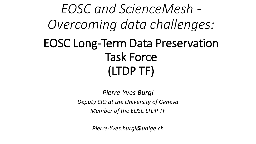*EOSC and ScienceMesh - Overcoming data challenges:* EOSC Long-Term Data Preservation Task Force (LTDP TF)

> *Pierre-Yves Burgi Deputy CIO at the University of Geneva Member of the EOSC LTDP TF*

> > *Pierre-Yves.burgi@unige.ch*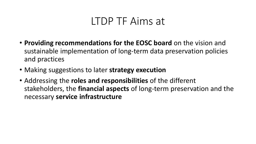### LTDP TF Aims at

- **Providing recommendations for the EOSC board** on the vision and sustainable implementation of long-term data preservation policies and practices
- Making suggestions to later **strategy execution**
- Addressing the **roles and responsibilities** of the different stakeholders, the **financial aspects** of long-term preservation and the necessary **service infrastructure**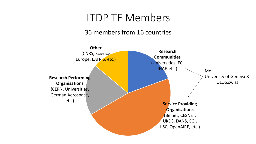### LTDP TF Members

#### 36 members from 16 countries

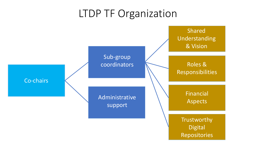## LTDP TF Organization

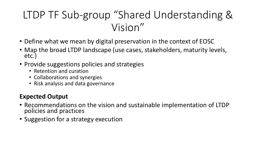# LTDP TF Sub-group "Shared Understanding & Vision"

- Define what we mean by digital preservation in the context of EOSC
- Map the broad LTDP landscape (use cases, stakeholders, maturity levels, etc.)
- Provide suggestions policies and strategies
	- Retention and curation
	- Collaborations and synergies
	- Risk analysis and data governance

#### **Expected Output**

- Recommendations on the vision and sustainable implementation of LTDP policies and practices
- Suggestion for a strategy execution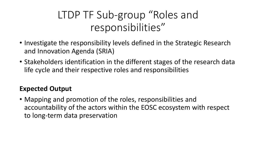# LTDP TF Sub-group "Roles and responsibilities"

- Investigate the responsibility levels defined in the Strategic Research and Innovation Agenda (SRIA)
- Stakeholders identification in the different stages of the research data life cycle and their respective roles and responsibilities

### **Expected Output**

• Mapping and promotion of the roles, responsibilities and accountability of the actors within the EOSC ecosystem with respect to long-term data preservation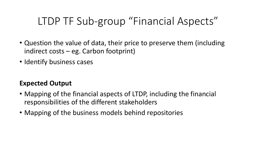## LTDP TF Sub-group "Financial Aspects"

- Question the value of data, their price to preserve them (including indirect costs – eg. Carbon footprint)
- Identify business cases

### **Expected Output**

- Mapping of the financial aspects of LTDP, including the financial responsibilities of the different stakeholders
- Mapping of the business models behind repositories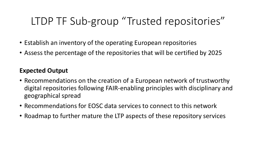# LTDP TF Sub-group "Trusted repositories"

- Establish an inventory of the operating European repositories
- Assess the percentage of the repositories that will be certified by 2025

#### **Expected Output**

- Recommendations on the creation of a European network of trustworthy digital repositories following FAIR-enabling principles with disciplinary and geographical spread
- Recommendations for EOSC data services to connect to this network
- Roadmap to further mature the LTP aspects of these repository services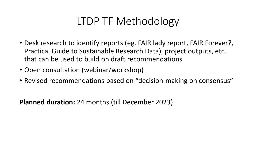## LTDP TF Methodology

- Desk research to identify reports (eg. FAIR lady report, FAIR Forever?, Practical Guide to Sustainable Research Data), project outputs, etc. that can be used to build on draft recommendations
- Open consultation (webinar/workshop)
- Revised recommendations based on "decision-making on consensus"

**Planned duration:** 24 months (till December 2023)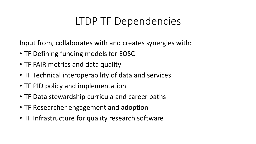## LTDP TF Dependencies

Input from, collaborates with and creates synergies with:

- TF Defining funding models for EOSC
- TF FAIR metrics and data quality
- TF Technical interoperability of data and services
- TF PID policy and implementation
- TF Data stewardship curricula and career paths
- TF Researcher engagement and adoption
- TF Infrastructure for quality research software